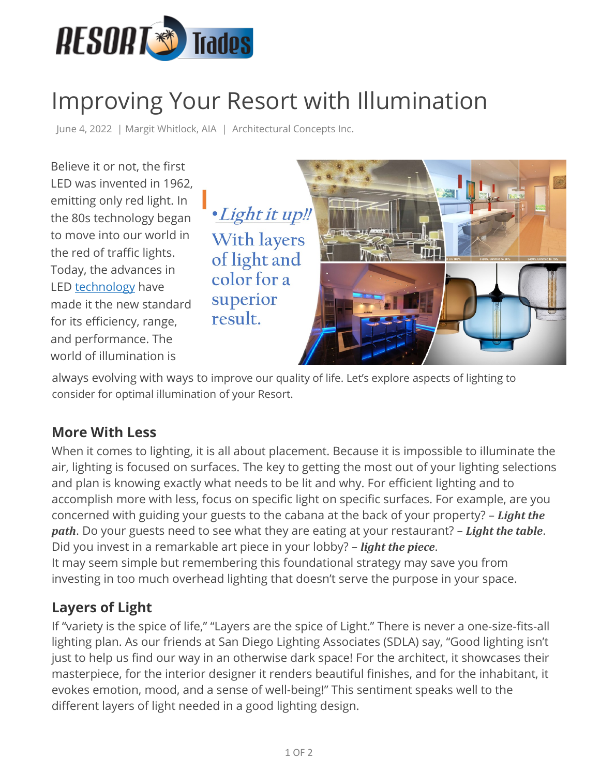

## Improving Your Resort with Illumination

June 4, 2022 | Margit Whitlock, AIA | Architectural Concepts Inc.

Believe it or not, the first LED was invented in 1962, emitting only red light. In the 80s technology began to move into our world in the red of traffic lights. Today, the advances in LED [technology](https://resorttrades.com/design-experience-technology/) have made it the new standard for its efficiency, range, and performance. The world of illumination is



always evolving with ways to improve our quality of life. Let's explore aspects of lighting to consider for optimal illumination of your Resort.

## **More With Less**

When it comes to lighting, it is all about placement. Because it is impossible to illuminate the air, lighting is focused on surfaces. The key to getting the most out of your lighting selections and plan is knowing exactly what needs to be lit and why. For efficient lighting and to accomplish more with less, focus on specific light on specific surfaces. For example, are you concerned with guiding your guests to the cabana at the back of your property? – *Light the path*. Do your guests need to see what they are eating at your restaurant? – *Light the table*. Did you invest in a remarkable art piece in your lobby? – *light the piece*. It may seem simple but remembering this foundational strategy may save you from investing in too much overhead lighting that doesn't serve the purpose in your space.

## **Layers of Light**

If "variety is the spice of life," "Layers are the spice of Light." There is never a one-size-fits-all lighting plan. As our friends at San Diego Lighting Associates (SDLA) say, "Good lighting isn't just to help us find our way in an otherwise dark space! For the architect, it showcases their masterpiece, for the interior designer it renders beautiful finishes, and for the inhabitant, it evokes emotion, mood, and a sense of well-being!" This sentiment speaks well to the different layers of light needed in a good lighting design.